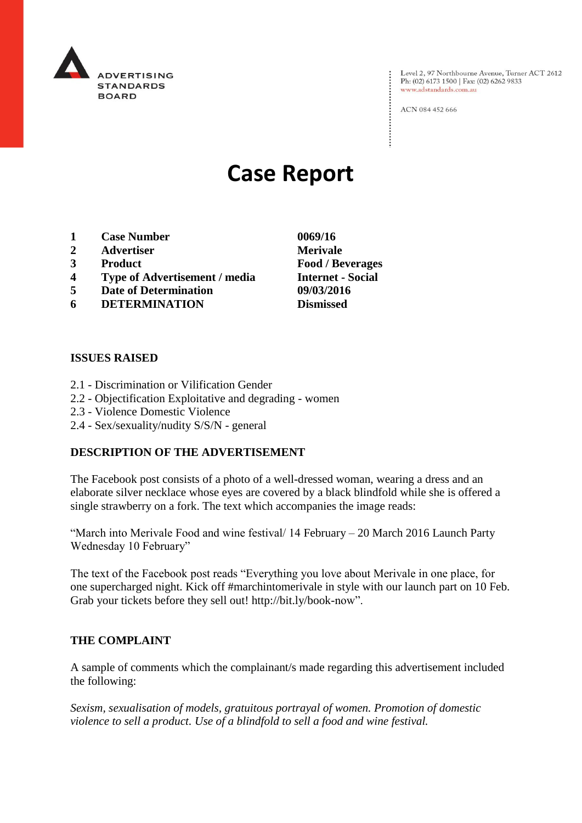

Level 2, 97 Northbourne Avenue, Turner ACT 2612<br>Ph: (02) 6173 1500 | Fax: (02) 6262 9833 www.adstandards.com.au

ACN 084 452 666

# **Case Report**

- **1 Case Number 0069/16**
- **2 Advertiser Merivale**
- 
- **4 Type of Advertisement / media Internet - Social**
- **5 Date of Determination 09/03/2016**
- **6 DETERMINATION Dismissed**

#### **ISSUES RAISED**

- 2.1 Discrimination or Vilification Gender
- 2.2 Objectification Exploitative and degrading women
- 2.3 Violence Domestic Violence
- 2.4 Sex/sexuality/nudity S/S/N general

#### **DESCRIPTION OF THE ADVERTISEMENT**

The Facebook post consists of a photo of a well-dressed woman, wearing a dress and an elaborate silver necklace whose eyes are covered by a black blindfold while she is offered a single strawberry on a fork. The text which accompanies the image reads:

"March into Merivale Food and wine festival/ 14 February – 20 March 2016 Launch Party Wednesday 10 February"

The text of the Facebook post reads "Everything you love about Merivale in one place, for one supercharged night. Kick off #marchintomerivale in style with our launch part on 10 Feb. Grab your tickets before they sell out! http://bit.ly/book-now".

### **THE COMPLAINT**

A sample of comments which the complainant/s made regarding this advertisement included the following:

*Sexism, sexualisation of models, gratuitous portrayal of women. Promotion of domestic violence to sell a product. Use of a blindfold to sell a food and wine festival.*

**3 Product Food / Beverages**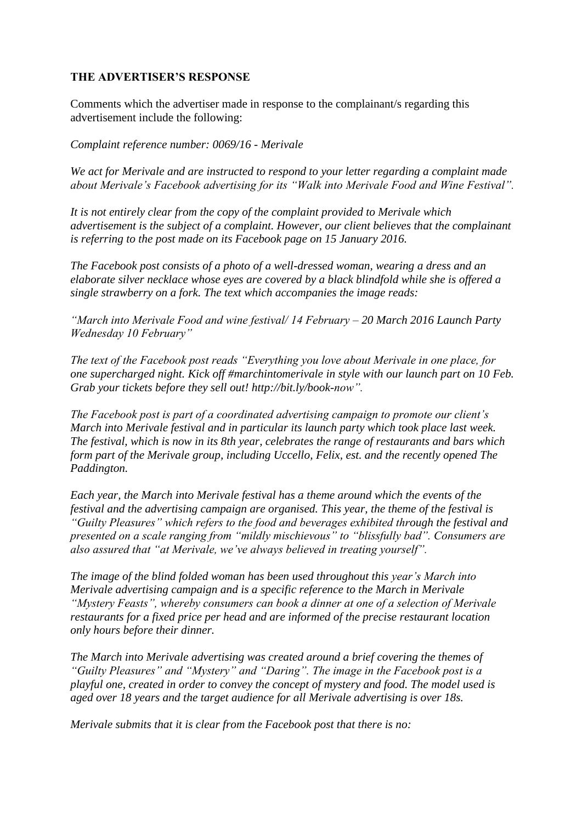## **THE ADVERTISER'S RESPONSE**

Comments which the advertiser made in response to the complainant/s regarding this advertisement include the following:

*Complaint reference number: 0069/16 - Merivale*

*We act for Merivale and are instructed to respond to your letter regarding a complaint made about Merivale's Facebook advertising for its "Walk into Merivale Food and Wine Festival".*

*It is not entirely clear from the copy of the complaint provided to Merivale which advertisement is the subject of a complaint. However, our client believes that the complainant is referring to the post made on its Facebook page on 15 January 2016.*

*The Facebook post consists of a photo of a well-dressed woman, wearing a dress and an elaborate silver necklace whose eyes are covered by a black blindfold while she is offered a single strawberry on a fork. The text which accompanies the image reads:*

*"March into Merivale Food and wine festival/ 14 February – 20 March 2016 Launch Party Wednesday 10 February"*

*The text of the Facebook post reads "Everything you love about Merivale in one place, for one supercharged night. Kick off #marchintomerivale in style with our launch part on 10 Feb. Grab your tickets before they sell out! http://bit.ly/book-now".*

*The Facebook post is part of a coordinated advertising campaign to promote our client's March into Merivale festival and in particular its launch party which took place last week. The festival, which is now in its 8th year, celebrates the range of restaurants and bars which form part of the Merivale group, including Uccello, Felix, est. and the recently opened The Paddington.*

*Each year, the March into Merivale festival has a theme around which the events of the festival and the advertising campaign are organised. This year, the theme of the festival is "Guilty Pleasures" which refers to the food and beverages exhibited through the festival and presented on a scale ranging from "mildly mischievous" to "blissfully bad". Consumers are also assured that "at Merivale, we've always believed in treating yourself".*

*The image of the blind folded woman has been used throughout this year's March into Merivale advertising campaign and is a specific reference to the March in Merivale "Mystery Feasts", whereby consumers can book a dinner at one of a selection of Merivale restaurants for a fixed price per head and are informed of the precise restaurant location only hours before their dinner.*

*The March into Merivale advertising was created around a brief covering the themes of "Guilty Pleasures" and "Mystery" and "Daring". The image in the Facebook post is a playful one, created in order to convey the concept of mystery and food. The model used is aged over 18 years and the target audience for all Merivale advertising is over 18s.*

*Merivale submits that it is clear from the Facebook post that there is no:*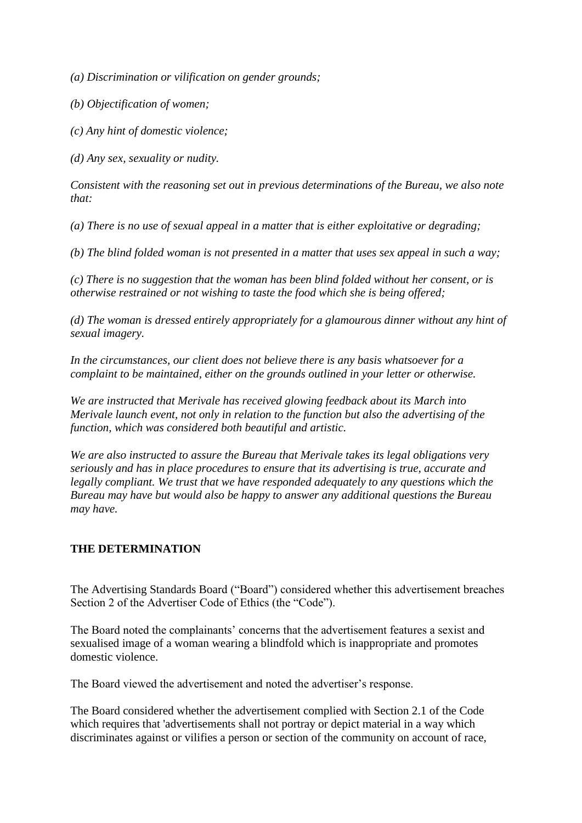*(a) Discrimination or vilification on gender grounds;*

*(b) Objectification of women;*

*(c) Any hint of domestic violence;*

*(d) Any sex, sexuality or nudity.*

*Consistent with the reasoning set out in previous determinations of the Bureau, we also note that:*

*(a) There is no use of sexual appeal in a matter that is either exploitative or degrading;*

*(b) The blind folded woman is not presented in a matter that uses sex appeal in such a way;*

*(c) There is no suggestion that the woman has been blind folded without her consent, or is otherwise restrained or not wishing to taste the food which she is being offered;*

*(d) The woman is dressed entirely appropriately for a glamourous dinner without any hint of sexual imagery.*

*In the circumstances, our client does not believe there is any basis whatsoever for a complaint to be maintained, either on the grounds outlined in your letter or otherwise.*

*We are instructed that Merivale has received glowing feedback about its March into Merivale launch event, not only in relation to the function but also the advertising of the function, which was considered both beautiful and artistic.*

*We are also instructed to assure the Bureau that Merivale takes its legal obligations very seriously and has in place procedures to ensure that its advertising is true, accurate and legally compliant. We trust that we have responded adequately to any questions which the Bureau may have but would also be happy to answer any additional questions the Bureau may have.*

# **THE DETERMINATION**

The Advertising Standards Board ("Board") considered whether this advertisement breaches Section 2 of the Advertiser Code of Ethics (the "Code").

The Board noted the complainants' concerns that the advertisement features a sexist and sexualised image of a woman wearing a blindfold which is inappropriate and promotes domestic violence.

The Board viewed the advertisement and noted the advertiser's response.

The Board considered whether the advertisement complied with Section 2.1 of the Code which requires that 'advertisements shall not portray or depict material in a way which discriminates against or vilifies a person or section of the community on account of race,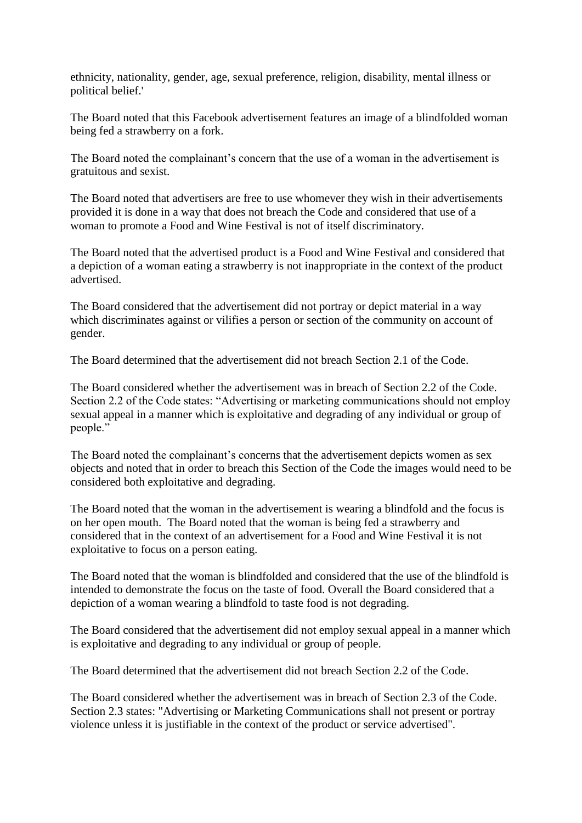ethnicity, nationality, gender, age, sexual preference, religion, disability, mental illness or political belief.'

The Board noted that this Facebook advertisement features an image of a blindfolded woman being fed a strawberry on a fork.

The Board noted the complainant's concern that the use of a woman in the advertisement is gratuitous and sexist.

The Board noted that advertisers are free to use whomever they wish in their advertisements provided it is done in a way that does not breach the Code and considered that use of a woman to promote a Food and Wine Festival is not of itself discriminatory.

The Board noted that the advertised product is a Food and Wine Festival and considered that a depiction of a woman eating a strawberry is not inappropriate in the context of the product advertised.

The Board considered that the advertisement did not portray or depict material in a way which discriminates against or vilifies a person or section of the community on account of gender.

The Board determined that the advertisement did not breach Section 2.1 of the Code.

The Board considered whether the advertisement was in breach of Section 2.2 of the Code. Section 2.2 of the Code states: "Advertising or marketing communications should not employ sexual appeal in a manner which is exploitative and degrading of any individual or group of people."

The Board noted the complainant's concerns that the advertisement depicts women as sex objects and noted that in order to breach this Section of the Code the images would need to be considered both exploitative and degrading.

The Board noted that the woman in the advertisement is wearing a blindfold and the focus is on her open mouth. The Board noted that the woman is being fed a strawberry and considered that in the context of an advertisement for a Food and Wine Festival it is not exploitative to focus on a person eating.

The Board noted that the woman is blindfolded and considered that the use of the blindfold is intended to demonstrate the focus on the taste of food. Overall the Board considered that a depiction of a woman wearing a blindfold to taste food is not degrading.

The Board considered that the advertisement did not employ sexual appeal in a manner which is exploitative and degrading to any individual or group of people.

The Board determined that the advertisement did not breach Section 2.2 of the Code.

The Board considered whether the advertisement was in breach of Section 2.3 of the Code. Section 2.3 states: "Advertising or Marketing Communications shall not present or portray violence unless it is justifiable in the context of the product or service advertised".